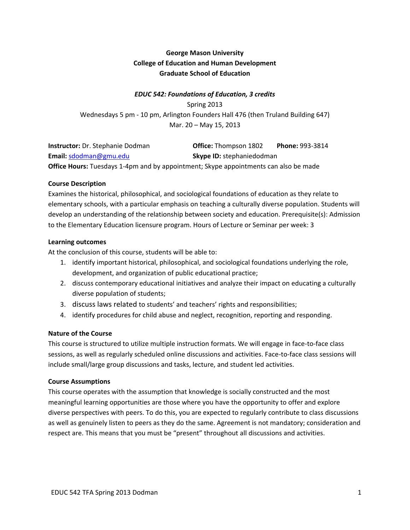# **George Mason University College of Education and Human Development Graduate School of Education**

# *EDUC 542: Foundations of Education, 3 credits*

Spring 2013 Wednesdays 5 pm - 10 pm, Arlington Founders Hall 476 (then Truland Building 647) Mar. 20 – May 15, 2013

| <b>Instructor:</b> Dr. Stephanie Dodman                                                     | <b>Office: Thompson 1802</b>     | <b>Phone: 993-3814</b> |
|---------------------------------------------------------------------------------------------|----------------------------------|------------------------|
| Email: sdodman@gmu.edu                                                                      | <b>Skype ID:</b> stephaniedodman |                        |
| <b>Office Hours:</b> Tuesdays 1-4pm and by appointment; Skype appointments can also be made |                                  |                        |

#### **Course Description**

Examines the historical, philosophical, and sociological foundations of education as they relate to elementary schools, with a particular emphasis on teaching a culturally diverse population. Students will develop an understanding of the relationship between society and education. Prerequisite(s): Admission to the Elementary Education licensure program. Hours of Lecture or Seminar per week: 3

#### **Learning outcomes**

At the conclusion of this course, students will be able to:

- 1. identify important historical, philosophical, and sociological foundations underlying the role, development, and organization of public educational practice;
- 2. discuss contemporary educational initiatives and analyze their impact on educating a culturally diverse population of students;
- 3. discuss laws related to students' and teachers' rights and responsibilities;
- 4. identify procedures for child abuse and neglect, recognition, reporting and responding.

## **Nature of the Course**

This course is structured to utilize multiple instruction formats. We will engage in face-to-face class sessions, as well as regularly scheduled online discussions and activities. Face-to-face class sessions will include small/large group discussions and tasks, lecture, and student led activities.

#### **Course Assumptions**

This course operates with the assumption that knowledge is socially constructed and the most meaningful learning opportunities are those where you have the opportunity to offer and explore diverse perspectives with peers. To do this, you are expected to regularly contribute to class discussions as well as genuinely listen to peers as they do the same. Agreement is not mandatory; consideration and respect are. This means that you must be "present" throughout all discussions and activities.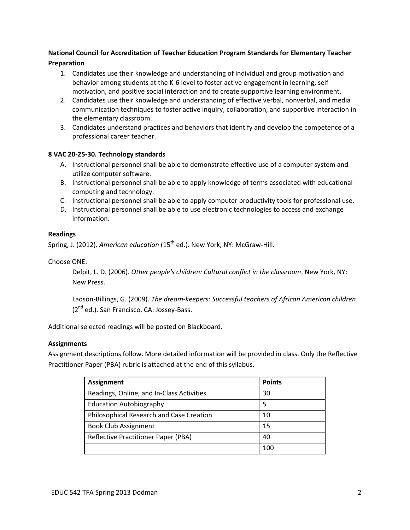# **National Council for Accreditation of Teacher Education Program Standards for Elementary Teacher Preparation**

- 1. Candidates use their knowledge and understanding of individual and group motivation and behavior among students at the K-6 level to foster active engagement in learning, self motivation, and positive social interaction and to create supportive learning environment.
- 2. Candidates use their knowledge and understanding of effective verbal, nonverbal, and media communication techniques to foster active inquiry, collaboration, and supportive interaction in the elementary classroom.
- 3. Candidates understand practices and behaviors that identify and develop the competence of a professional career teacher.

## **8 VAC 20-25-30. Technology standards**

- A. Instructional personnel shall be able to demonstrate effective use of a computer system and utilize computer software.
- B. Instructional personnel shall be able to apply knowledge of terms associated with educational computing and technology.
- C. Instructional personnel shall be able to apply computer productivity tools for professional use.
- D. Instructional personnel shall be able to use electronic technologies to access and exchange information.

## **Readings**

Spring, J. (2012). *American education* (15<sup>th</sup> ed.). New York, NY: McGraw-Hill.

Choose ONE:

Delpit, L. D. (2006). *Other people's children: Cultural conflict in the classroom*. New York, NY: New Press.

Ladson-Billings, G. (2009). *The dream-keepers: Successful teachers of African American children*. (2<sup>nd</sup> ed.). San Francisco, CA: Jossey-Bass.

Additional selected readings will be posted on Blackboard.

## **Assignments**

Assignment descriptions follow. More detailed information will be provided in class. Only the Reflective Practitioner Paper (PBA) rubric is attached at the end of this syllabus.

| Assignment                                | <b>Points</b> |
|-------------------------------------------|---------------|
| Readings, Online, and In-Class Activities | 30            |
| <b>Education Autobiography</b>            | 5             |
| Philosophical Research and Case Creation  | 10            |
| <b>Book Club Assignment</b>               | 15            |
| Reflective Practitioner Paper (PBA)       | 40            |
|                                           | 100           |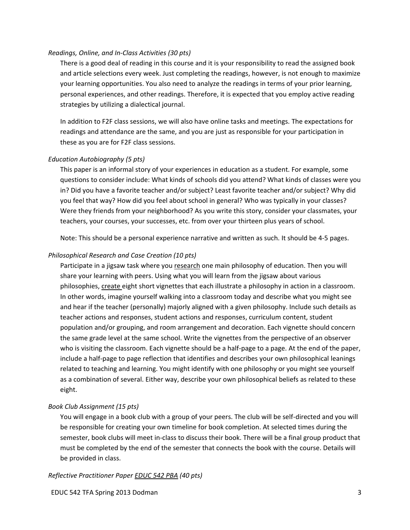#### *Readings, Online, and In-Class Activities (30 pts)*

There is a good deal of reading in this course and it is your responsibility to read the assigned book and article selections every week. Just completing the readings, however, is not enough to maximize your learning opportunities. You also need to analyze the readings in terms of your prior learning, personal experiences, and other readings. Therefore, it is expected that you employ active reading strategies by utilizing a dialectical journal.

In addition to F2F class sessions, we will also have online tasks and meetings. The expectations for readings and attendance are the same, and you are just as responsible for your participation in these as you are for F2F class sessions.

#### *Education Autobiography (5 pts)*

This paper is an informal story of your experiences in education as a student. For example, some questions to consider include: What kinds of schools did you attend? What kinds of classes were you in? Did you have a favorite teacher and/or subject? Least favorite teacher and/or subject? Why did you feel that way? How did you feel about school in general? Who was typically in your classes? Were they friends from your neighborhood? As you write this story, consider your classmates, your teachers, your courses, your successes, etc. from over your thirteen plus years of school.

Note: This should be a personal experience narrative and written as such. It should be 4-5 pages.

#### *Philosophical Research and Case Creation (10 pts)*

Participate in a jigsaw task where you research one main philosophy of education. Then you will share your learning with peers. Using what you will learn from the jigsaw about various philosophies, create eight short vignettes that each illustrate a philosophy in action in a classroom. In other words, imagine yourself walking into a classroom today and describe what you might see and hear if the teacher (personally) majorly aligned with a given philosophy. Include such details as teacher actions and responses, student actions and responses, curriculum content, student population and/or grouping, and room arrangement and decoration. Each vignette should concern the same grade level at the same school. Write the vignettes from the perspective of an observer who is visiting the classroom. Each vignette should be a half-page to a page. At the end of the paper, include a half-page to page reflection that identifies and describes your own philosophical leanings related to teaching and learning. You might identify with one philosophy or you might see yourself as a combination of several. Either way, describe your own philosophical beliefs as related to these eight.

## *Book Club Assignment (15 pts)*

You will engage in a book club with a group of your peers. The club will be self-directed and you will be responsible for creating your own timeline for book completion. At selected times during the semester, book clubs will meet in-class to discuss their book. There will be a final group product that must be completed by the end of the semester that connects the book with the course. Details will be provided in class.

## *Reflective Practitioner Paper EDUC 542 PBA (40 pts)*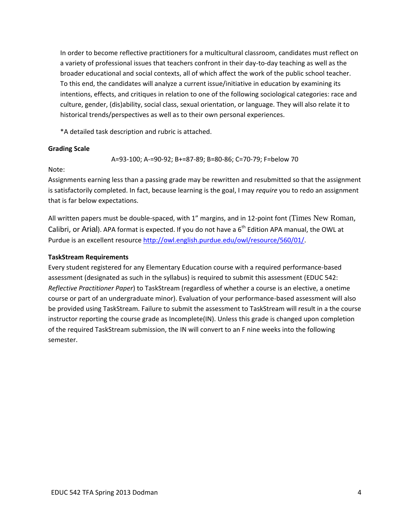In order to become reflective practitioners for a multicultural classroom, candidates must reflect on a variety of professional issues that teachers confront in their day-to-day teaching as well as the broader educational and social contexts, all of which affect the work of the public school teacher. To this end, the candidates will analyze a current issue/initiative in education by examining its intentions, effects, and critiques in relation to one of the following sociological categories: race and culture, gender, (dis)ability, social class, sexual orientation, or language. They will also relate it to historical trends/perspectives as well as to their own personal experiences.

\*A detailed task description and rubric is attached.

## **Grading Scale**

A=93-100; A-=90-92; B+=87-89; B=80-86; C=70-79; F=below 70

Note:

Assignments earning less than a passing grade may be rewritten and resubmitted so that the assignment is satisfactorily completed. In fact, because learning is the goal, I may *require* you to redo an assignment that is far below expectations.

All written papers must be double-spaced, with 1" margins, and in 12-point font (Times New Roman, Calibri, or Arial). APA format is expected. If you do not have a  $6<sup>th</sup>$  Edition APA manual, the OWL at Purdue is an excellent resource [http://owl.english.purdue.edu/owl/resource/560/01/.](http://owl.english.purdue.edu/owl/resource/560/01/)

## **TaskStream Requirements**

Every student registered for any Elementary Education course with a required performance-based assessment (designated as such in the syllabus) is required to submit this assessment (EDUC 542: *Reflective Practitioner Paper*) to TaskStream (regardless of whether a course is an elective, a onetime course or part of an undergraduate minor). Evaluation of your performance-based assessment will also be provided using TaskStream. Failure to submit the assessment to TaskStream will result in a the course instructor reporting the course grade as Incomplete(IN). Unless this grade is changed upon completion of the required TaskStream submission, the IN will convert to an F nine weeks into the following semester.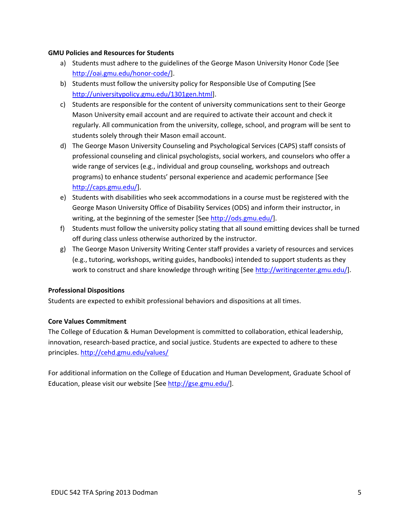## **GMU Policies and Resources for Students**

- a) Students must adhere to the guidelines of the George Mason University Honor Code [See [http://oai.gmu.edu/honor-code/\]](http://oai.gmu.edu/honor-code/).
- b) Students must follow the university policy for Responsible Use of Computing [See [http://universitypolicy.gmu.edu/1301gen.html\]](http://universitypolicy.gmu.edu/1301gen.html).
- c) Students are responsible for the content of university communications sent to their George Mason University email account and are required to activate their account and check it regularly. All communication from the university, college, school, and program will be sent to students solely through their Mason email account.
- d) The George Mason University Counseling and Psychological Services (CAPS) staff consists of professional counseling and clinical psychologists, social workers, and counselors who offer a wide range of services (e.g., individual and group counseling, workshops and outreach programs) to enhance students' personal experience and academic performance [See [http://caps.gmu.edu/\]](http://caps.gmu.edu/).
- e) Students with disabilities who seek accommodations in a course must be registered with the George Mason University Office of Disability Services (ODS) and inform their instructor, in writing, at the beginning of the semester [Se[e http://ods.gmu.edu/\]](http://ods.gmu.edu/).
- f) Students must follow the university policy stating that all sound emitting devices shall be turned off during class unless otherwise authorized by the instructor.
- g) The George Mason University Writing Center staff provides a variety of resources and services (e.g., tutoring, workshops, writing guides, handbooks) intended to support students as they work to construct and share knowledge through writing [See [http://writingcenter.gmu.edu/\]](http://writingcenter.gmu.edu/).

## **Professional Dispositions**

Students are expected to exhibit professional behaviors and dispositions at all times.

## **Core Values Commitment**

The College of Education & Human Development is committed to collaboration, ethical leadership, innovation, research-based practice, and social justice. Students are expected to adhere to these principles.<http://cehd.gmu.edu/values/>

For additional information on the College of Education and Human Development, Graduate School of Education, please visit our website [See [http://gse.gmu.edu/\]](http://gse.gmu.edu/).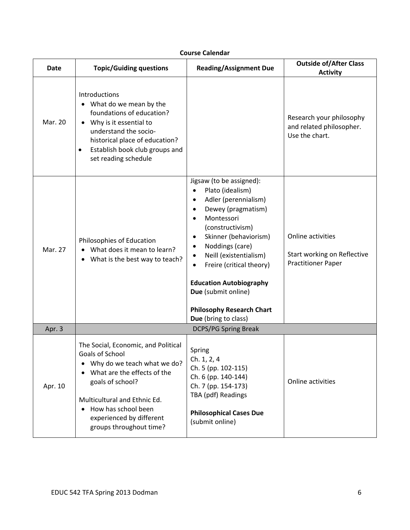| <b>Date</b> | <b>Topic/Guiding questions</b>                                                                                                                                                                                                                         | <b>Reading/Assignment Due</b>                                                                                                                                                                                                                                                                                                                                                                                                     | <b>Outside of/After Class</b><br><b>Activity</b>                              |
|-------------|--------------------------------------------------------------------------------------------------------------------------------------------------------------------------------------------------------------------------------------------------------|-----------------------------------------------------------------------------------------------------------------------------------------------------------------------------------------------------------------------------------------------------------------------------------------------------------------------------------------------------------------------------------------------------------------------------------|-------------------------------------------------------------------------------|
| Mar. 20     | Introductions<br>What do we mean by the<br>foundations of education?<br>Why is it essential to<br>understand the socio-<br>historical place of education?<br>Establish book club groups and<br>$\bullet$<br>set reading schedule                       |                                                                                                                                                                                                                                                                                                                                                                                                                                   | Research your philosophy<br>and related philosopher.<br>Use the chart.        |
| Mar. 27     | Philosophies of Education<br>What does it mean to learn?<br>What is the best way to teach?                                                                                                                                                             | Jigsaw (to be assigned):<br>Plato (idealism)<br>$\bullet$<br>Adler (perennialism)<br>$\bullet$<br>Dewey (pragmatism)<br>$\bullet$<br>Montessori<br>$\bullet$<br>(constructivism)<br>Skinner (behaviorism)<br>Noddings (care)<br>$\bullet$<br>Neill (existentialism)<br>$\bullet$<br>Freire (critical theory)<br><b>Education Autobiography</b><br>Due (submit online)<br><b>Philosophy Research Chart</b><br>Due (bring to class) | Online activities<br>Start working on Reflective<br><b>Practitioner Paper</b> |
| Apr. 3      |                                                                                                                                                                                                                                                        | <b>DCPS/PG Spring Break</b>                                                                                                                                                                                                                                                                                                                                                                                                       |                                                                               |
| Apr. 10     | The Social, Economic, and Political<br>Goals of School<br>Why do we teach what we do?<br>What are the effects of the<br>goals of school?<br>Multicultural and Ethnic Ed.<br>How has school been<br>experienced by different<br>groups throughout time? | Spring<br>Ch. 1, 2, 4<br>Ch. 5 (pp. 102-115)<br>Ch. 6 (pp. 140-144)<br>Ch. 7 (pp. 154-173)<br>TBA (pdf) Readings<br><b>Philosophical Cases Due</b><br>(submit online)                                                                                                                                                                                                                                                             | Online activities                                                             |

# **Course Calendar**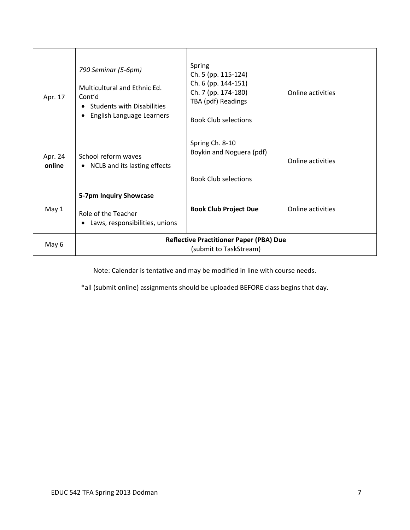| Apr. 17           | 790 Seminar (5-6pm)<br>Multicultural and Ethnic Ed.<br>Cont'd<br><b>Students with Disabilities</b><br>English Language Learners | Spring<br>Ch. 5 (pp. 115-124)<br>Ch. 6 (pp. 144-151)<br>Ch. 7 (pp. 174-180)<br>TBA (pdf) Readings<br><b>Book Club selections</b> | Online activities |
|-------------------|---------------------------------------------------------------------------------------------------------------------------------|----------------------------------------------------------------------------------------------------------------------------------|-------------------|
| Apr. 24<br>online | School reform waves<br>• NCLB and its lasting effects                                                                           | Spring Ch. 8-10<br>Boykin and Noguera (pdf)<br><b>Book Club selections</b>                                                       | Online activities |
| May 1             | 5-7pm Inquiry Showcase<br>Role of the Teacher<br>Laws, responsibilities, unions                                                 | <b>Book Club Project Due</b>                                                                                                     | Online activities |
| May 6             | <b>Reflective Practitioner Paper (PBA) Due</b><br>(submit to TaskStream)                                                        |                                                                                                                                  |                   |

Note: Calendar is tentative and may be modified in line with course needs.

\*all (submit online) assignments should be uploaded BEFORE class begins that day.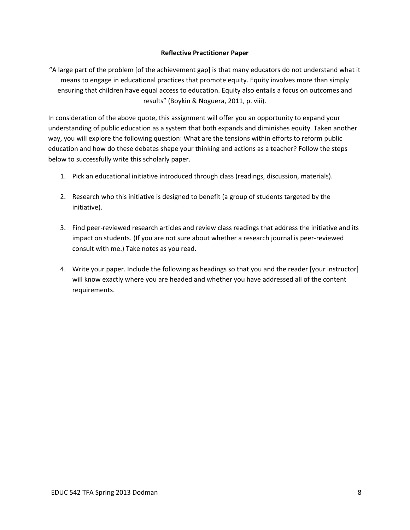## **Reflective Practitioner Paper**

"A large part of the problem [of the achievement gap] is that many educators do not understand what it means to engage in educational practices that promote equity. Equity involves more than simply ensuring that children have equal access to education. Equity also entails a focus on outcomes and results" (Boykin & Noguera, 2011, p. viii).

In consideration of the above quote, this assignment will offer you an opportunity to expand your understanding of public education as a system that both expands and diminishes equity. Taken another way, you will explore the following question: What are the tensions within efforts to reform public education and how do these debates shape your thinking and actions as a teacher? Follow the steps below to successfully write this scholarly paper.

- 1. Pick an educational initiative introduced through class (readings, discussion, materials).
- 2. Research who this initiative is designed to benefit (a group of students targeted by the initiative).
- 3. Find peer-reviewed research articles and review class readings that address the initiative and its impact on students. (If you are not sure about whether a research journal is peer-reviewed consult with me.) Take notes as you read.
- 4. Write your paper. Include the following as headings so that you and the reader [your instructor] will know exactly where you are headed and whether you have addressed all of the content requirements.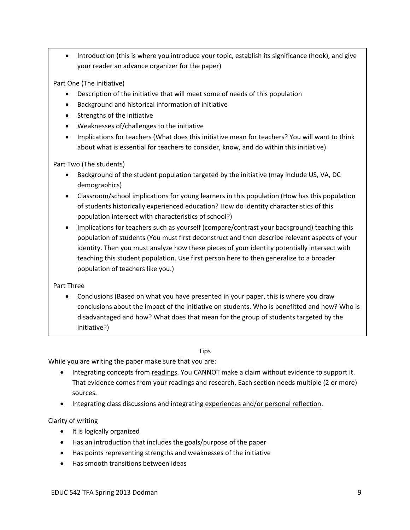• Introduction (this is where you introduce your topic, establish its significance (hook), and give your reader an advance organizer for the paper)

Part One (The initiative)

- Description of the initiative that will meet some of needs of this population
- Background and historical information of initiative
- Strengths of the initiative
- Weaknesses of/challenges to the initiative
- Implications for teachers (What does this initiative mean for teachers? You will want to think about what is essential for teachers to consider, know, and do within this initiative)

Part Two (The students)

- Background of the student population targeted by the initiative (may include US, VA, DC demographics)
- Classroom/school implications for young learners in this population (How has this population of students historically experienced education? How do identity characteristics of this population intersect with characteristics of school?)
- Implications for teachers such as yourself (compare/contrast your background) teaching this population of students (You must first deconstruct and then describe relevant aspects of your identity. Then you must analyze how these pieces of your identity potentially intersect with teaching this student population. Use first person here to then generalize to a broader population of teachers like you.)

Part Three

 Conclusions (Based on what you have presented in your paper, this is where you draw conclusions about the impact of the initiative on students. Who is benefitted and how? Who is disadvantaged and how? What does that mean for the group of students targeted by the initiative?)

# Tips

While you are writing the paper make sure that you are:

- Integrating concepts from readings. You CANNOT make a claim without evidence to support it. That evidence comes from your readings and research. Each section needs multiple (2 or more) sources.
- Integrating class discussions and integrating experiences and/or personal reflection.

Clarity of writing

- It is logically organized
- Has an introduction that includes the goals/purpose of the paper
- Has points representing strengths and weaknesses of the initiative
- Has smooth transitions between ideas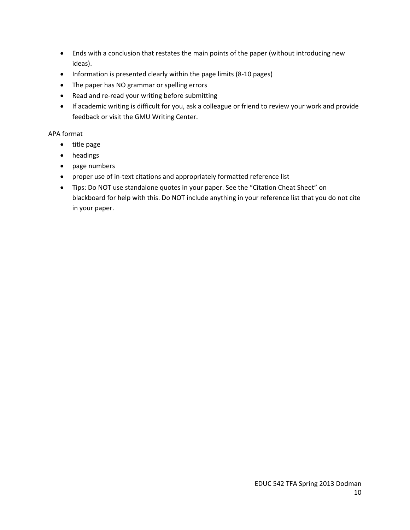- Ends with a conclusion that restates the main points of the paper (without introducing new ideas).
- Information is presented clearly within the page limits (8-10 pages)
- The paper has NO grammar or spelling errors
- Read and re-read your writing before submitting
- If academic writing is difficult for you, ask a colleague or friend to review your work and provide feedback or visit the GMU Writing Center.

## APA format

- title page
- headings
- page numbers
- proper use of in-text citations and appropriately formatted reference list
- Tips: Do NOT use standalone quotes in your paper. See the "Citation Cheat Sheet" on blackboard for help with this. Do NOT include anything in your reference list that you do not cite in your paper.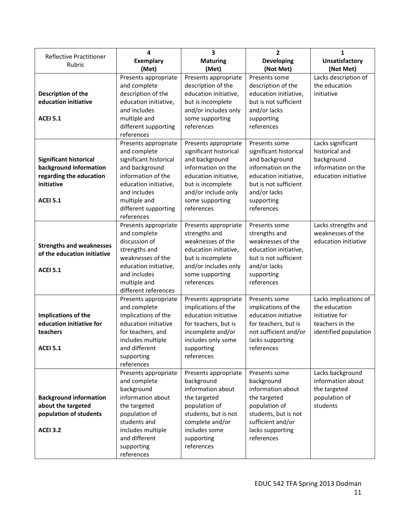| <b>Reflective Practitioner</b>                      | 4                               | 3                                      | $\overline{2}$                  | 1                         |
|-----------------------------------------------------|---------------------------------|----------------------------------------|---------------------------------|---------------------------|
| Rubric                                              | <b>Exemplary</b>                | <b>Maturing</b>                        | <b>Developing</b>               | <b>Unsatisfactory</b>     |
|                                                     | (Met)                           | (Met)                                  | (Not Met)                       | (Not Met)                 |
|                                                     | Presents appropriate            | Presents appropriate                   | Presents some                   | Lacks description of      |
|                                                     | and complete                    | description of the                     | description of the              | the education             |
| Description of the                                  | description of the              | education initiative,                  | education initiative,           | initiative                |
| education initiative                                | education initiative,           | but is incomplete                      | but is not sufficient           |                           |
|                                                     | and includes                    | and/or includes only                   | and/or lacks                    |                           |
| <b>ACEI 5.1</b>                                     | multiple and                    | some supporting                        | supporting                      |                           |
|                                                     | different supporting            | references                             | references                      |                           |
|                                                     | references                      |                                        |                                 |                           |
|                                                     | Presents appropriate            | Presents appropriate                   | Presents some                   | Lacks significant         |
|                                                     | and complete                    | significant historical                 | significant historical          | historical and            |
| <b>Significant historical</b>                       | significant historical          | and background                         | and background                  | background                |
| background information                              | and background                  | information on the                     | information on the              | information on the        |
| regarding the education                             | information of the              | education initiative,                  | education initiative,           | education initiative      |
| initiative                                          | education initiative,           | but is incomplete                      | but is not sufficient           |                           |
| <b>ACEI 5.1</b>                                     | and includes<br>multiple and    | and/or include only<br>some supporting | and/or lacks                    |                           |
|                                                     | different supporting            | references                             | supporting<br>references        |                           |
|                                                     | references                      |                                        |                                 |                           |
|                                                     | Presents appropriate            | Presents appropriate                   | Presents some                   | Lacks strengths and       |
|                                                     | and complete                    | strengths and                          | strengths and                   | weaknesses of the         |
|                                                     | discussion of                   | weaknesses of the                      | weaknesses of the               | education initiative      |
| <b>Strengths and weaknesses</b>                     | strengths and                   | education initiative,                  | education initiative,           |                           |
| of the education initiative                         | weaknesses of the               | but is incomplete                      | but is not sufficient           |                           |
|                                                     | education initiative,           | and/or includes only                   | and/or lacks                    |                           |
| <b>ACEI 5.1</b>                                     | and includes                    | some supporting                        | supporting                      |                           |
|                                                     | multiple and                    | references                             | references                      |                           |
|                                                     | different references            |                                        |                                 |                           |
|                                                     | Presents appropriate            | Presents appropriate                   | Presents some                   | Lacks implications of     |
|                                                     | and complete                    | implications of the                    | implications of the             | the education             |
| Implications of the                                 | implications of the             | education initiative                   | education initiative            | initiative for            |
| education initiative for                            | education initiative            | for teachers, but is                   | for teachers, but is            | teachers in the           |
| teachers                                            | for teachers, and               | incomplete and/or                      | not sufficient and/or           | identified population     |
|                                                     | includes multiple               | includes only some                     | lacks supporting                |                           |
| <b>ACEI 5.1</b>                                     | and different                   | supporting                             | references                      |                           |
|                                                     | supporting                      | references                             |                                 |                           |
|                                                     | references                      |                                        |                                 |                           |
|                                                     | Presents appropriate            | Presents appropriate                   | Presents some                   | Lacks background          |
|                                                     | and complete                    | background<br>information about        | background<br>information about | information about         |
|                                                     | background<br>information about | the targeted                           | the targeted                    | the targeted              |
| <b>Background information</b><br>about the targeted | the targeted                    | population of                          | population of                   | population of<br>students |
| population of students                              | population of                   | students, but is not                   | students, but is not            |                           |
|                                                     | students and                    | complete and/or                        | sufficient and/or               |                           |
| <b>ACEI 3.2</b>                                     | includes multiple               | includes some                          | lacks supporting                |                           |
|                                                     | and different                   | supporting                             | references                      |                           |
|                                                     | supporting                      | references                             |                                 |                           |
|                                                     | references                      |                                        |                                 |                           |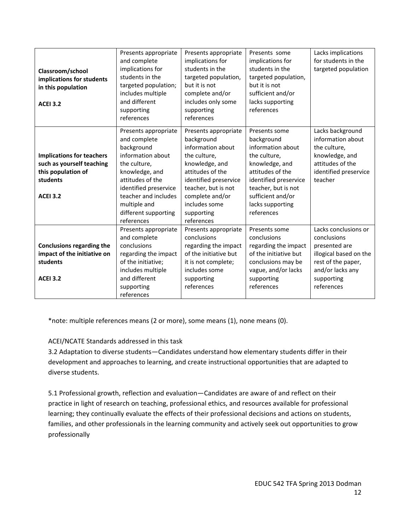| Classroom/school<br>implications for students<br>in this population<br><b>ACEI 3.2</b> | Presents appropriate<br>and complete<br>implications for<br>students in the<br>targeted population;<br>includes multiple<br>and different<br>supporting<br>references | Presents appropriate<br>implications for<br>students in the<br>targeted population,<br>but it is not<br>complete and/or<br>includes only some<br>supporting<br>references | Presents some<br>implications for<br>students in the<br>targeted population,<br>but it is not<br>sufficient and/or<br>lacks supporting<br>references | Lacks implications<br>for students in the<br>targeted population |
|----------------------------------------------------------------------------------------|-----------------------------------------------------------------------------------------------------------------------------------------------------------------------|---------------------------------------------------------------------------------------------------------------------------------------------------------------------------|------------------------------------------------------------------------------------------------------------------------------------------------------|------------------------------------------------------------------|
|                                                                                        | Presents appropriate<br>and complete<br>background                                                                                                                    | Presents appropriate<br>background<br>information about                                                                                                                   | Presents some<br>background<br>information about                                                                                                     | Lacks background<br>information about<br>the culture,            |
| <b>Implications for teachers</b>                                                       | information about                                                                                                                                                     | the culture,                                                                                                                                                              | the culture,                                                                                                                                         | knowledge, and                                                   |
| such as yourself teaching                                                              | the culture,                                                                                                                                                          | knowledge, and                                                                                                                                                            | knowledge, and                                                                                                                                       | attitudes of the                                                 |
| this population of                                                                     | knowledge, and                                                                                                                                                        | attitudes of the                                                                                                                                                          | attitudes of the                                                                                                                                     | identified preservice                                            |
| students                                                                               | attitudes of the                                                                                                                                                      | identified preservice                                                                                                                                                     | identified preservice                                                                                                                                | teacher                                                          |
|                                                                                        | identified preservice                                                                                                                                                 | teacher, but is not                                                                                                                                                       | teacher, but is not                                                                                                                                  |                                                                  |
| <b>ACEI 3.2</b>                                                                        | teacher and includes                                                                                                                                                  | complete and/or                                                                                                                                                           | sufficient and/or                                                                                                                                    |                                                                  |
|                                                                                        | multiple and                                                                                                                                                          | includes some                                                                                                                                                             | lacks supporting                                                                                                                                     |                                                                  |
|                                                                                        | different supporting                                                                                                                                                  | supporting                                                                                                                                                                | references                                                                                                                                           |                                                                  |
|                                                                                        | references                                                                                                                                                            | references                                                                                                                                                                |                                                                                                                                                      |                                                                  |
|                                                                                        | Presents appropriate                                                                                                                                                  | Presents appropriate                                                                                                                                                      | Presents some                                                                                                                                        | Lacks conclusions or                                             |
|                                                                                        | and complete                                                                                                                                                          | conclusions                                                                                                                                                               | conclusions                                                                                                                                          | conclusions                                                      |
| <b>Conclusions regarding the</b>                                                       | conclusions                                                                                                                                                           | regarding the impact                                                                                                                                                      | regarding the impact                                                                                                                                 | presented are                                                    |
| impact of the initiative on                                                            | regarding the impact                                                                                                                                                  | of the initiative but                                                                                                                                                     | of the initiative but                                                                                                                                | illogical based on the                                           |
| students                                                                               | of the initiative;                                                                                                                                                    | it is not complete;                                                                                                                                                       | conclusions may be                                                                                                                                   | rest of the paper,                                               |
|                                                                                        | includes multiple                                                                                                                                                     | includes some                                                                                                                                                             | vague, and/or lacks                                                                                                                                  | and/or lacks any                                                 |
| <b>ACEI 3.2</b>                                                                        | and different                                                                                                                                                         | supporting                                                                                                                                                                | supporting                                                                                                                                           | supporting                                                       |
|                                                                                        | supporting                                                                                                                                                            | references                                                                                                                                                                | references                                                                                                                                           | references                                                       |
|                                                                                        | references                                                                                                                                                            |                                                                                                                                                                           |                                                                                                                                                      |                                                                  |

\*note: multiple references means (2 or more), some means (1), none means (0).

# ACEI/NCATE Standards addressed in this task

3.2 Adaptation to diverse students—Candidates understand how elementary students differ in their development and approaches to learning, and create instructional opportunities that are adapted to diverse students.

5.1 Professional growth, reflection and evaluation—Candidates are aware of and reflect on their practice in light of research on teaching, professional ethics, and resources available for professional learning; they continually evaluate the effects of their professional decisions and actions on students, families, and other professionals in the learning community and actively seek out opportunities to grow professionally